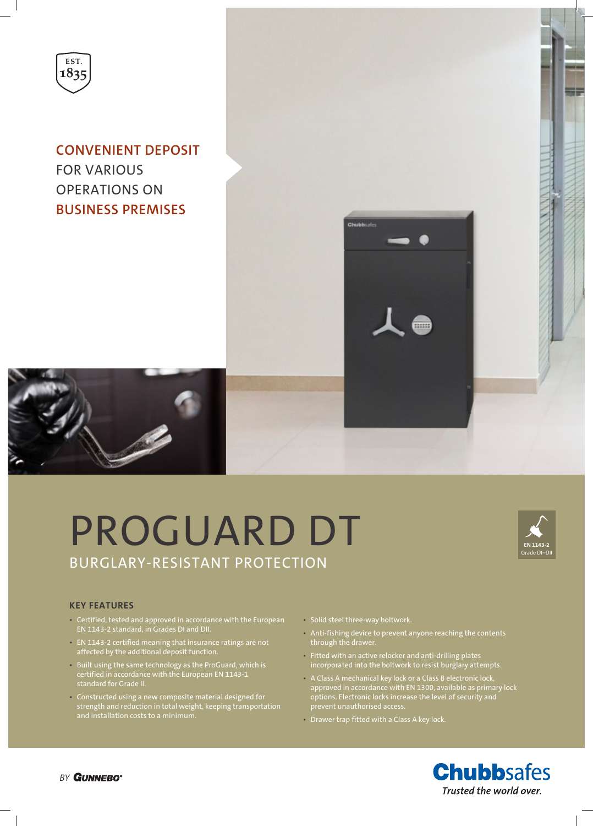

**CONVENIENT DEPOSIT** FOR VARIOUS OPERATIONS ON **BUSINESS PREMISES**





# PROGUARD DT BURGLARY-RESISTANT PROTECTION



#### **KEY FEATURES**

- Certified, tested and approved in accordance with the European EN 1143-2 standard, in Grades DI and DII.
- EN 1143-2 certified meaning that insurance ratings are not affected by the additional deposit function.
- Built using the same technology as the ProGuard, which is certified in accordance with the European EN 1143-1 standard for Grade II.
- Constructed using a new composite material designed for strength and reduction in total weight, keeping transportation
- Solid steel three-way boltwork.
- Anti-fishing device to prevent anyone reaching the contents through the drawer.
- Fitted with an active relocker and anti-drilling plates incorporated into the boltwork to resist burglary attempts.
- A Class A mechanical key lock or a Class B electronic lock, approved in accordance with EN 1300, available as primary lock options. Electronic locks increase the level of security and prevent unauthorised access.
- Drawer trap fitted with a Class A key lock.